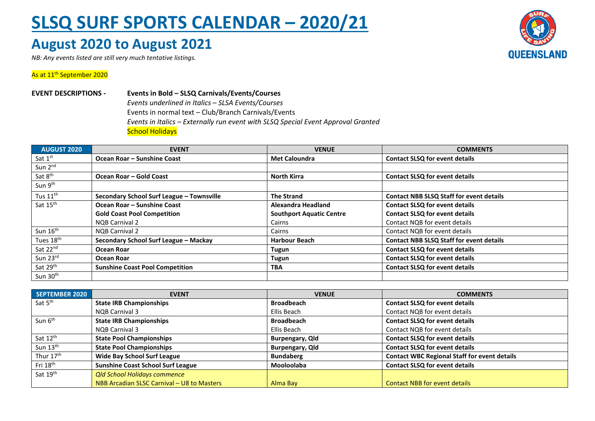## **SLSQ SURF SPORTS CALENDAR – 2020/21**

## **August 2020 to August 2021**

*NB: Any events listed are still very much tentative listings.*



## As at 11<sup>th</sup> September 2020

**EVENT DESCRIPTIONS - Events in Bold – SLSQ Carnivals/Events/Courses** *Events underlined in Italics – SLSA Events/Courses* Events in normal text – Club/Branch Carnivals/Events *Events in Italics – Externally run event with SLSQ Special Event Approval Granted* **School Holidays** 

| <b>AUGUST 2020</b>    | <b>EVENT</b>                              | <b>VENUE</b>                    | <b>COMMENTS</b>                                 |
|-----------------------|-------------------------------------------|---------------------------------|-------------------------------------------------|
| Sat 1st               | Ocean Roar - Sunshine Coast               | <b>Met Caloundra</b>            | <b>Contact SLSQ for event details</b>           |
| Sun 2 <sup>nd</sup>   |                                           |                                 |                                                 |
| Sat 8 <sup>th</sup>   | Ocean Roar - Gold Coast                   | <b>North Kirra</b>              | <b>Contact SLSQ for event details</b>           |
| Sun 9 <sup>th</sup>   |                                           |                                 |                                                 |
| Tus $11^{\text{th}}$  | Secondary School Surf League - Townsville | <b>The Strand</b>               | <b>Contact NBB SLSQ Staff for event details</b> |
| Sat 15 <sup>th</sup>  | Ocean Roar - Sunshine Coast               | Alexandra Headland              | <b>Contact SLSQ for event details</b>           |
|                       | <b>Gold Coast Pool Competition</b>        | <b>Southport Aquatic Centre</b> | <b>Contact SLSQ for event details</b>           |
|                       | NQB Carnival 2                            | Cairns                          | Contact NQB for event details                   |
| Sun 16 <sup>th</sup>  | <b>NOB Carnival 2</b>                     | Cairns                          | Contact NQB for event details                   |
| Tues 18 <sup>th</sup> | Secondary School Surf League - Mackay     | <b>Harbour Beach</b>            | <b>Contact NBB SLSQ Staff for event details</b> |
| Sat 22 <sup>nd</sup>  | Ocean Roar                                | Tugun                           | <b>Contact SLSQ for event details</b>           |
| Sun 23rd              | Ocean Roar                                | Tugun                           | <b>Contact SLSQ for event details</b>           |
| Sat 29th              | <b>Sunshine Coast Pool Competition</b>    | <b>TBA</b>                      | <b>Contact SLSQ for event details</b>           |
| Sun 30 <sup>th</sup>  |                                           |                                 |                                                 |

| SEPTEMBER 2020        | <b>EVENT</b>                               | <b>VENUE</b>           | <b>COMMENTS</b>                                     |
|-----------------------|--------------------------------------------|------------------------|-----------------------------------------------------|
| Sat 5 <sup>th</sup>   | <b>State IRB Championships</b>             | <b>Broadbeach</b>      | <b>Contact SLSQ for event details</b>               |
|                       | NOB Carnival 3                             | Ellis Beach            | Contact NQB for event details                       |
| Sun 6 <sup>th</sup>   | <b>State IRB Championships</b>             | <b>Broadbeach</b>      | <b>Contact SLSQ for event details</b>               |
|                       | NOB Carnival 3                             | Ellis Beach            | Contact NQB for event details                       |
| Sat 12 <sup>th</sup>  | <b>State Pool Championships</b>            | <b>Burpengary, Qld</b> | <b>Contact SLSQ for event details</b>               |
| Sun $13th$            | <b>State Pool Championships</b>            | Burpengary, Qld        | <b>Contact SLSQ for event details</b>               |
| Thur 17 <sup>th</sup> | <b>Wide Bay School Surf League</b>         | <b>Bundaberg</b>       | <b>Contact WBC Regional Staff for event details</b> |
| Fri 18 <sup>th</sup>  | <b>Sunshine Coast School Surf League</b>   | <b>Mooloolaba</b>      | <b>Contact SLSQ for event details</b>               |
| Sat 19 <sup>th</sup>  | <b>Qld School Holidays commence</b>        |                        |                                                     |
|                       | NBB Arcadian SLSC Carnival - U8 to Masters | Alma Bay               | <b>Contact NBB for event details</b>                |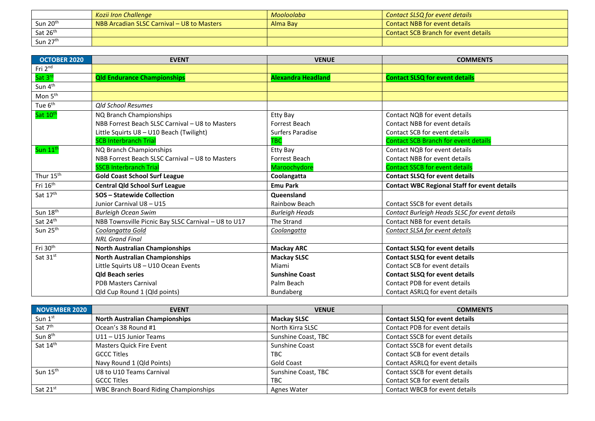|                      | Kozii Iron Challenae                       | Mooloolaba | Contact SLSQ for event details              |
|----------------------|--------------------------------------------|------------|---------------------------------------------|
| Sun 20 <sup>th</sup> | NBB Arcadian SLSC Carnival - U8 to Masters | Alma Bay   | <b>Contact NBB for event details</b>        |
| Sat 26 <sup>th</sup> |                                            |            | <b>Contact SCB Branch for event details</b> |
| Sun 27th             |                                            |            |                                             |

| <b>OCTOBER 2020</b>   | <b>EVENT</b>                                        | <b>VENUE</b>              | <b>COMMENTS</b>                                     |
|-----------------------|-----------------------------------------------------|---------------------------|-----------------------------------------------------|
| Fri 2nd               |                                                     |                           |                                                     |
| Sat 3rd               | <b>Qld Endurance Championships</b>                  | <b>Alexandra Headland</b> | <b>Contact SLSQ for event details</b>               |
| Sun 4 <sup>th</sup>   |                                                     |                           |                                                     |
| Mon 5 <sup>th</sup>   |                                                     |                           |                                                     |
| Tue 6 <sup>th</sup>   | <b>Qld School Resumes</b>                           |                           |                                                     |
| Sat 10 <sup>th</sup>  | NQ Branch Championships                             | Etty Bay                  | Contact NQB for event details                       |
|                       | NBB Forrest Beach SLSC Carnival - U8 to Masters     | Forrest Beach             | Contact NBB for event details                       |
|                       | Little Squirts U8 - U10 Beach (Twilight)            | <b>Surfers Paradise</b>   | Contact SCB for event details                       |
|                       | <b>SCB Interbranch Trial</b>                        | <b>TBC</b>                | <b>Contact SCB Branch for event details</b>         |
| Sun 11 <sup>th</sup>  | NQ Branch Championships                             | Etty Bay                  | Contact NQB for event details                       |
|                       | NBB Forrest Beach SLSC Carnival - U8 to Masters     | Forrest Beach             | Contact NBB for event details                       |
|                       | <b>SSCB Interbranch Trial</b>                       | Maroochydore              | <b>Contact SSCB for event details</b>               |
| Thur 15 <sup>th</sup> | <b>Gold Coast School Surf League</b>                | Coolangatta               | <b>Contact SLSQ for event details</b>               |
| Fri 16 <sup>th</sup>  | <b>Central Qld School Surf League</b>               | <b>Emu Park</b>           | <b>Contact WBC Regional Staff for event details</b> |
| Sat 17 <sup>th</sup>  | <b>SOS - Statewide Collection</b>                   | Queensland                |                                                     |
|                       | Junior Carnival U8 - U15                            | Rainbow Beach             | Contact SSCB for event details                      |
| Sun 18th              | <b>Burleigh Ocean Swim</b>                          | <b>Burleigh Heads</b>     | Contact Burleigh Heads SLSC for event details       |
| Sat 24th              | NBB Townsville Picnic Bay SLSC Carnival - U8 to U17 | The Strand                | <b>Contact NBB for event details</b>                |
| Sun 25 <sup>th</sup>  | Coolanaatta Gold                                    | Coolangatta               | Contact SLSA for event details                      |
|                       | <b>NRL Grand Final</b>                              |                           |                                                     |
| Fri 30 <sup>th</sup>  | <b>North Australian Championships</b>               | <b>Mackay ARC</b>         | <b>Contact SLSQ for event details</b>               |
| Sat 31st              | <b>North Australian Championships</b>               | <b>Mackay SLSC</b>        | <b>Contact SLSQ for event details</b>               |
|                       | Little Squirts U8 - U10 Ocean Events                | Miami                     | Contact SCB for event details                       |
|                       | <b>Qld Beach series</b>                             | <b>Sunshine Coast</b>     | <b>Contact SLSQ for event details</b>               |
|                       | <b>PDB Masters Carnival</b>                         | Palm Beach                | Contact PDB for event details                       |
|                       | Qld Cup Round 1 (Qld points)                        | Bundaberg                 | Contact ASRLQ for event details                     |

| NOVEMBER 2020        | <b>EVENT</b>                          | <b>VENUE</b>        | <b>COMMENTS</b>                       |
|----------------------|---------------------------------------|---------------------|---------------------------------------|
| Sun 1st              | <b>North Australian Championships</b> | <b>Mackay SLSC</b>  | <b>Contact SLSQ for event details</b> |
| Sat 7 <sup>th</sup>  | Ocean's 38 Round #1                   | North Kirra SLSC    | Contact PDB for event details         |
| Sun 8 <sup>th</sup>  | U11 - U15 Junior Teams                | Sunshine Coast, TBC | Contact SSCB for event details        |
| Sat 14th             | <b>Masters Quick Fire Event</b>       | Sunshine Coast      | Contact SSCB for event details        |
|                      | <b>GCCC Titles</b>                    | TBC.                | Contact SCB for event details         |
|                      | Navy Round 1 (Qld Points)             | <b>Gold Coast</b>   | Contact ASRLQ for event details       |
| Sun 15 <sup>th</sup> | U8 to U10 Teams Carnival              | Sunshine Coast, TBC | Contact SSCB for event details        |
|                      | <b>GCCC Titles</b>                    | <b>TBC</b>          | Contact SCB for event details         |
| Sat 21 <sup>st</sup> | WBC Branch Board Riding Championships | Agnes Water         | Contact WBCB for event details        |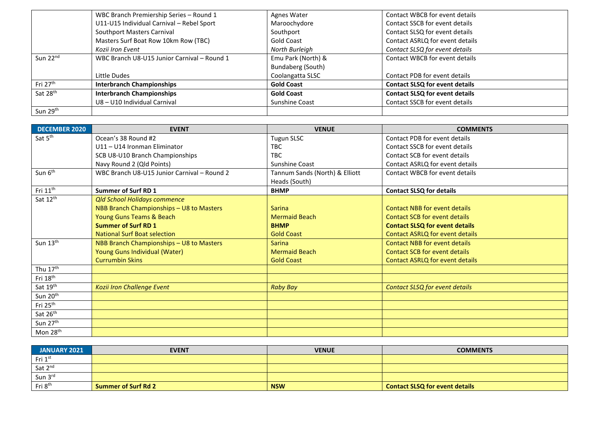|                      | WBC Branch Premiership Series - Round 1     | Agnes Water        | Contact WBCB for event details        |
|----------------------|---------------------------------------------|--------------------|---------------------------------------|
|                      | U11-U15 Individual Carnival - Rebel Sport   | Maroochydore       | Contact SSCB for event details        |
|                      | Southport Masters Carnival                  | Southport          | Contact SLSQ for event details        |
|                      | Masters Surf Boat Row 10km Row (TBC)        | <b>Gold Coast</b>  | Contact ASRLQ for event details       |
|                      | Kozii Iron Event                            | North Burleigh     | Contact SLSQ for event details        |
| Sun 22 <sup>nd</sup> | WBC Branch U8-U15 Junior Carnival - Round 1 | Emu Park (North) & | Contact WBCB for event details        |
|                      |                                             | Bundaberg (South)  |                                       |
|                      | Little Dudes                                | Coolangatta SLSC   | Contact PDB for event details         |
| Fri 27 <sup>th</sup> | <b>Interbranch Championships</b>            | <b>Gold Coast</b>  | <b>Contact SLSQ for event details</b> |
| Sat 28 <sup>th</sup> | <b>Interbranch Championships</b>            | <b>Gold Coast</b>  | <b>Contact SLSQ for event details</b> |
|                      | U8 - U10 Individual Carnival                | Sunshine Coast     | Contact SSCB for event details        |
| Sun 29th             |                                             |                    |                                       |

| <b>DECEMBER 2020</b> | <b>EVENT</b>                                | <b>VENUE</b>                   | <b>COMMENTS</b>                       |
|----------------------|---------------------------------------------|--------------------------------|---------------------------------------|
| Sat 5 <sup>th</sup>  | Ocean's 38 Round #2                         | <b>Tugun SLSC</b>              | Contact PDB for event details         |
|                      | U11 - U14 Ironman Eliminator                | TBC                            | Contact SSCB for event details        |
|                      | SCB U8-U10 Branch Championships             | <b>TBC</b>                     | Contact SCB for event details         |
|                      | Navy Round 2 (Qld Points)                   | <b>Sunshine Coast</b>          | Contact ASRLQ for event details       |
| Sun 6 <sup>th</sup>  | WBC Branch U8-U15 Junior Carnival - Round 2 | Tannum Sands (North) & Elliott | Contact WBCB for event details        |
|                      |                                             | Heads (South)                  |                                       |
| Fri 11 <sup>th</sup> | <b>Summer of Surf RD 1</b>                  | <b>BHMP</b>                    | <b>Contact SLSQ for details</b>       |
| Sat 12th             | <b>Qld School Holidays commence</b>         |                                |                                       |
|                      | NBB Branch Championships - U8 to Masters    | <b>Sarina</b>                  | <b>Contact NBB for event details</b>  |
|                      | Young Guns Teams & Beach                    | <b>Mermaid Beach</b>           | Contact SCB for event details         |
|                      | <b>Summer of Surf RD 1</b>                  | <b>BHMP</b>                    | <b>Contact SLSQ for event details</b> |
|                      | <b>National Surf Boat selection</b>         | <b>Gold Coast</b>              | Contact ASRLQ for event details       |
| Sun 13th             | NBB Branch Championships - U8 to Masters    | <b>Sarina</b>                  | <b>Contact NBB for event details</b>  |
|                      | Young Guns Individual (Water)               | <b>Mermaid Beach</b>           | <b>Contact SCB for event details</b>  |
|                      | <b>Currumbin Skins</b>                      | <b>Gold Coast</b>              | Contact ASRLQ for event details       |
| Thu 17th             |                                             |                                |                                       |
| Fri 18th             |                                             |                                |                                       |
| Sat 19th             | <b>Kozii Iron Challenge Event</b>           | <b>Raby Bay</b>                | <b>Contact SLSQ for event details</b> |
| Sun 20 <sup>th</sup> |                                             |                                |                                       |
| Fri 25 <sup>th</sup> |                                             |                                |                                       |
| Sat 26th             |                                             |                                |                                       |
| Sun 27 <sup>th</sup> |                                             |                                |                                       |
| Mon 28 <sup>th</sup> |                                             |                                |                                       |

| JANUARY 2021        | <b>EVENT</b>        | <b>VENUE</b> | <b>COMMENTS</b>                       |
|---------------------|---------------------|--------------|---------------------------------------|
| Fri 1st             |                     |              |                                       |
| Sat 2nd             |                     |              |                                       |
| Sun 3rd             |                     |              |                                       |
| Fri 8 <sup>th</sup> | Summer of Surf Rd 2 | <b>NSW</b>   | <b>Contact SLSQ for event details</b> |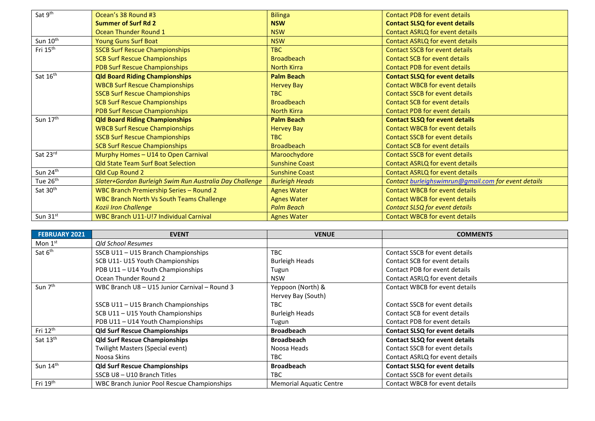| Sat 9 <sup>th</sup>  | Ocean's 38 Round #3                                     | <b>Bilinga</b>        | <b>Contact PDB for event details</b>                |
|----------------------|---------------------------------------------------------|-----------------------|-----------------------------------------------------|
|                      | <b>Summer of Surf Rd 2</b>                              | <b>NSW</b>            | <b>Contact SLSQ for event details</b>               |
|                      | Ocean Thunder Round 1                                   | <b>NSW</b>            | <b>Contact ASRLQ for event details</b>              |
| Sun 10 <sup>th</sup> | <b>Young Guns Surf Boat</b>                             | <b>NSW</b>            | <b>Contact ASRLQ for event details</b>              |
| Fri 15 <sup>th</sup> | <b>SSCB Surf Rescue Championships</b>                   | TBC                   | <b>Contact SSCB for event details</b>               |
|                      | <b>SCB Surf Rescue Championships</b>                    | <b>Broadbeach</b>     | <b>Contact SCB for event details</b>                |
|                      | <b>PDB Surf Rescue Championships</b>                    | <b>North Kirra</b>    | <b>Contact PDB for event details</b>                |
| Sat 16th             | <b>Qld Board Riding Championships</b>                   | <b>Palm Beach</b>     | <b>Contact SLSQ for event details</b>               |
|                      | <b>WBCB Surf Rescue Championships</b>                   | <b>Hervey Bay</b>     | <b>Contact WBCB for event details</b>               |
|                      | <b>SSCB Surf Rescue Championships</b>                   | TBC                   | <b>Contact SSCB for event details</b>               |
|                      | <b>SCB Surf Rescue Championships</b>                    | <b>Broadbeach</b>     | <b>Contact SCB for event details</b>                |
|                      | PDB Surf Rescue Championships                           | <b>North Kirra</b>    | <b>Contact PDB for event details</b>                |
| Sun 17th             | <b>Qld Board Riding Championships</b>                   | <b>Palm Beach</b>     | <b>Contact SLSQ for event details</b>               |
|                      | <b>WBCB Surf Rescue Championships</b>                   | <b>Hervey Bay</b>     | <b>Contact WBCB for event details</b>               |
|                      | <b>SSCB Surf Rescue Championships</b>                   | <b>TBC</b>            | <b>Contact SSCB for event details</b>               |
|                      | <b>SCB Surf Rescue Championships</b>                    | <b>Broadbeach</b>     | <b>Contact SCB for event details</b>                |
| Sat 23rd             | Murphy Homes - U14 to Open Carnival                     | Maroochydore          | <b>Contact SSCB for event details</b>               |
|                      |                                                         |                       |                                                     |
|                      | <b>Qld State Team Surf Boat Selection</b>               | <b>Sunshine Coast</b> | Contact ASRLQ for event details                     |
| Sun 24th             | Qld Cup Round 2                                         | <b>Sunshine Coast</b> | <b>Contact ASRLQ for event details</b>              |
| Tue 26 <sup>th</sup> | Slater+Gordon Burleigh Swim Run Australia Day Challenge | <b>Burleigh Heads</b> | Contact burleighswimrun@gmail.com for event details |
| Sat 30 <sup>th</sup> | WBC Branch Premiership Series - Round 2                 | <b>Agnes Water</b>    | <b>Contact WBCB for event details</b>               |
|                      | <b>WBC Branch North Vs South Teams Challenge</b>        | <b>Agnes Water</b>    | <b>Contact WBCB for event details</b>               |
|                      | <b>Kozii Iron Challenge</b>                             | <b>Palm Beach</b>     | Contact SLSQ for event details                      |
| Sun 31st             | WBC Branch U11-U!7 Individual Carnival                  | <b>Agnes Water</b>    | <b>Contact WBCB for event details</b>               |

| <b>FEBRUARY 2021</b> | <b>EVENT</b>                                  | <b>VENUE</b>                   | <b>COMMENTS</b>                       |
|----------------------|-----------------------------------------------|--------------------------------|---------------------------------------|
| Mon $1st$            | <b>Qld School Resumes</b>                     |                                |                                       |
| Sat 6 <sup>th</sup>  | SSCB U11 - U15 Branch Championships           | <b>TBC</b>                     | Contact SSCB for event details        |
|                      | SCB U11- U15 Youth Championships              | <b>Burleigh Heads</b>          | Contact SCB for event details         |
|                      | PDB U11 - U14 Youth Championships             | Tugun                          | Contact PDB for event details         |
|                      | Ocean Thunder Round 2                         | <b>NSW</b>                     | Contact ASRLQ for event details       |
| Sun 7 <sup>th</sup>  | WBC Branch U8 - U15 Junior Carnival - Round 3 | Yeppoon (North) &              | Contact WBCB for event details        |
|                      |                                               | Hervey Bay (South)             |                                       |
|                      | SSCB U11 - U15 Branch Championships           | TBC.                           | Contact SSCB for event details        |
|                      | SCB U11-U15 Youth Championships               | <b>Burleigh Heads</b>          | Contact SCB for event details         |
|                      | PDB U11 - U14 Youth Championships             | Tugun                          | Contact PDB for event details         |
| Fri 12 <sup>th</sup> | <b>Qld Surf Rescue Championships</b>          | <b>Broadbeach</b>              | <b>Contact SLSQ for event details</b> |
| Sat 13 <sup>th</sup> | <b>Qld Surf Rescue Championships</b>          | <b>Broadbeach</b>              | <b>Contact SLSQ for event details</b> |
|                      | Twilight Masters (Special event)              | Noosa Heads                    | Contact SSCB for event details        |
|                      | Noosa Skins                                   | TBC.                           | Contact ASRLQ for event details       |
| Sun 14th             | <b>Qld Surf Rescue Championships</b>          | <b>Broadbeach</b>              | <b>Contact SLSQ for event details</b> |
|                      | SSCB U8 - U10 Branch Titles                   | <b>TBC</b>                     | Contact SSCB for event details        |
| Fri 19th             | WBC Branch Junior Pool Rescue Championships   | <b>Memorial Aquatic Centre</b> | Contact WBCB for event details        |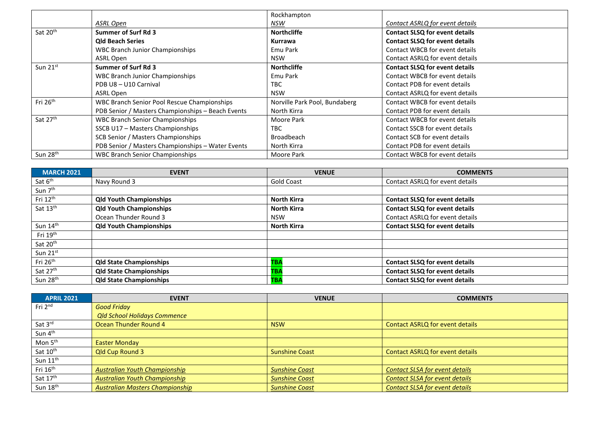|                      |                                                    | Rockhampton                   |                                       |
|----------------------|----------------------------------------------------|-------------------------------|---------------------------------------|
|                      | ASRL Open                                          | NSW                           | Contact ASRLQ for event details       |
| Sat 20th             | <b>Summer of Surf Rd 3</b>                         | <b>Northcliffe</b>            | <b>Contact SLSQ for event details</b> |
|                      | <b>Old Beach Series</b>                            | Kurrawa                       | <b>Contact SLSQ for event details</b> |
|                      | <b>WBC Branch Junior Championships</b>             | Emu Park                      | Contact WBCB for event details        |
|                      | ASRL Open                                          | <b>NSW</b>                    | Contact ASRLQ for event details       |
| Sun 21st             | Summer of Surf Rd 3                                | <b>Northcliffe</b>            | <b>Contact SLSQ for event details</b> |
|                      | <b>WBC Branch Junior Championships</b>             | Emu Park                      | Contact WBCB for event details        |
|                      | PDB U8 - U10 Carnival                              | TBC.                          | Contact PDB for event details         |
|                      | ASRL Open                                          | <b>NSW</b>                    | Contact ASRLQ for event details       |
| Fri 26 <sup>th</sup> | <b>WBC Branch Senior Pool Rescue Championships</b> | Norville Park Pool, Bundaberg | Contact WBCB for event details        |
|                      | PDB Senior / Masters Championships - Beach Events  | North Kirra                   | Contact PDB for event details         |
| Sat 27th             | <b>WBC Branch Senior Championships</b>             | Moore Park                    | Contact WBCB for event details        |
|                      | SSCB U17 - Masters Championships                   | TBC.                          | Contact SSCB for event details        |
|                      | SCB Senior / Masters Championships                 | <b>Broadbeach</b>             | Contact SCB for event details         |
|                      | PDB Senior / Masters Championships - Water Events  | North Kirra                   | Contact PDB for event details         |
| Sun 28 <sup>th</sup> | <b>WBC Branch Senior Championships</b>             | Moore Park                    | Contact WBCB for event details        |

| <b>MARCH 2021</b>    | <b>EVENT</b>                   | <b>VENUE</b>       | <b>COMMENTS</b>                       |
|----------------------|--------------------------------|--------------------|---------------------------------------|
| Sat 6 <sup>th</sup>  | Navy Round 3                   | Gold Coast         | Contact ASRLQ for event details       |
| Sun 7 <sup>th</sup>  |                                |                    |                                       |
| Fri 12 <sup>th</sup> | <b>Qld Youth Championships</b> | <b>North Kirra</b> | <b>Contact SLSQ for event details</b> |
| Sat 13th             | <b>Qld Youth Championships</b> | <b>North Kirra</b> | <b>Contact SLSQ for event details</b> |
|                      | Ocean Thunder Round 3          | <b>NSW</b>         | Contact ASRLQ for event details       |
| Sun 14 <sup>th</sup> | <b>Qld Youth Championships</b> | <b>North Kirra</b> | <b>Contact SLSQ for event details</b> |
| Fri 19 <sup>th</sup> |                                |                    |                                       |
| Sat 20 <sup>th</sup> |                                |                    |                                       |
| Sun $21^{st}$        |                                |                    |                                       |
| Fri 26 <sup>th</sup> | <b>Qld State Championships</b> | ТВА                | <b>Contact SLSQ for event details</b> |
| Sat 27th             | <b>Qld State Championships</b> | TBA                | <b>Contact SLSQ for event details</b> |
| Sun 28 <sup>th</sup> | <b>Qld State Championships</b> | <b>TBA</b>         | <b>Contact SLSQ for event details</b> |

| <b>APRIL 2021</b>               | <b>EVENT</b>                           | <b>VENUE</b>          | <b>COMMENTS</b>                        |
|---------------------------------|----------------------------------------|-----------------------|----------------------------------------|
| $\mathsf{Fri}\ 2^{\mathsf{nd}}$ | <b>Good Friday</b>                     |                       |                                        |
|                                 | <b>Qld School Holidays Commence</b>    |                       |                                        |
| Sat 3rd                         | Ocean Thunder Round 4                  | <b>NSW</b>            | <b>Contact ASRLQ for event details</b> |
| Sun 4 <sup>th</sup>             |                                        |                       |                                        |
| Mon 5 <sup>th</sup>             | <b>Easter Monday</b>                   |                       |                                        |
| Sat 10 <sup>th</sup>            | <b>Qld Cup Round 3</b>                 | <b>Sunshine Coast</b> | Contact ASRLQ for event details        |
| Sun $11^{th}$                   |                                        |                       |                                        |
| Fri 16 <sup>th</sup>            | <b>Australian Youth Championship</b>   | <b>Sunshine Coast</b> | <b>Contact SLSA for event details</b>  |
| Sat 17th                        | <b>Australian Youth Championship</b>   | <b>Sunshine Coast</b> | <b>Contact SLSA for event details</b>  |
| Sun 18th                        | <b>Australian Masters Championship</b> | <b>Sunshine Coast</b> | <b>Contact SLSA for event details</b>  |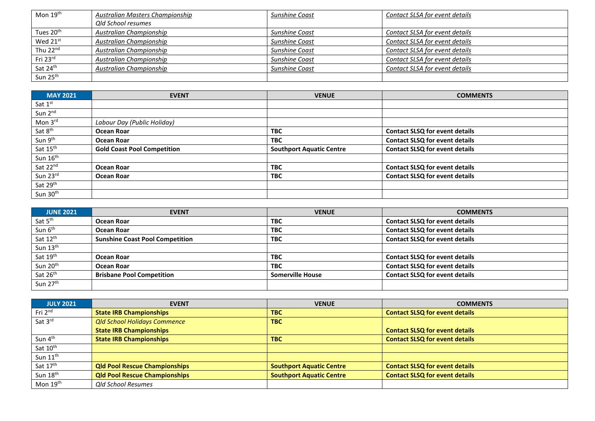| Mon $19^{\text{th}}$  | <b>Australian Masters Championship</b> | Sunshine Coast        | Contact SLSA for event details |
|-----------------------|----------------------------------------|-----------------------|--------------------------------|
|                       | Qld School resumes                     |                       |                                |
| Tues 20 <sup>th</sup> | Australian Championship                | <b>Sunshine Coast</b> | Contact SLSA for event details |
| Wed 21st              | Australian Championship                | <b>Sunshine Coast</b> | Contact SLSA for event details |
| Thu 22nd              | Australian Championship                | Sunshine Coast        | Contact SLSA for event details |
| Fri 23rd              | Australian Championship                | Sunshine Coast        | Contact SLSA for event details |
| Sat 24th              | Australian Championship                | <b>Sunshine Coast</b> | Contact SLSA for event details |
| Sun $25th$            |                                        |                       |                                |

| <b>MAY 2021</b>      | <b>EVENT</b>                       | <b>VENUE</b>                    | <b>COMMENTS</b>                       |
|----------------------|------------------------------------|---------------------------------|---------------------------------------|
| Sat 1st              |                                    |                                 |                                       |
| Sun 2nd              |                                    |                                 |                                       |
| Mon 3rd              | Labour Day (Public Holiday)        |                                 |                                       |
| Sat 8 <sup>th</sup>  | Ocean Roar                         | <b>TBC</b>                      | <b>Contact SLSQ for event details</b> |
| Sun 9th              | Ocean Roar                         | <b>TBC</b>                      | <b>Contact SLSQ for event details</b> |
| Sat 15th             | <b>Gold Coast Pool Competition</b> | <b>Southport Aquatic Centre</b> | <b>Contact SLSQ for event details</b> |
| Sun 16 <sup>th</sup> |                                    |                                 |                                       |
| Sat 22nd             | Ocean Roar                         | <b>TBC</b>                      | <b>Contact SLSQ for event details</b> |
| Sun 23rd             | Ocean Roar                         | <b>TBC</b>                      | <b>Contact SLSQ for event details</b> |
| Sat 29 <sup>th</sup> |                                    |                                 |                                       |
| Sun 30 <sup>th</sup> |                                    |                                 |                                       |

| <b>JUNE 2021</b>     | <b>EVENT</b>                           | <b>VENUE</b>            | <b>COMMENTS</b>                       |
|----------------------|----------------------------------------|-------------------------|---------------------------------------|
| Sat 5 <sup>th</sup>  | Ocean Roar                             | <b>TBC</b>              | <b>Contact SLSQ for event details</b> |
| Sun 6 <sup>th</sup>  | Ocean Roar                             | <b>TBC</b>              | <b>Contact SLSQ for event details</b> |
| Sat 12th             | <b>Sunshine Coast Pool Competition</b> | <b>TBC</b>              | <b>Contact SLSQ for event details</b> |
| Sun 13th             |                                        |                         |                                       |
| Sat 19th             | Ocean Roar                             | <b>TBC</b>              | <b>Contact SLSQ for event details</b> |
| Sun 20 <sup>th</sup> | Ocean Roar                             | <b>TBC</b>              | <b>Contact SLSQ for event details</b> |
| Sat 26 <sup>th</sup> | <b>Brisbane Pool Competition</b>       | <b>Somerville House</b> | <b>Contact SLSQ for event details</b> |
| Sun 27 <sup>th</sup> |                                        |                         |                                       |

| <b>JULY 2021</b>     | <b>EVENT</b>                         | <b>VENUE</b>                    | <b>COMMENTS</b>                       |
|----------------------|--------------------------------------|---------------------------------|---------------------------------------|
| Fri 2 <sup>nd</sup>  | <b>State IRB Championships</b>       | <b>TBC</b>                      | <b>Contact SLSQ for event details</b> |
| Sat 3rd              | <b>Qld School Holidays Commence</b>  | <b>TBC</b>                      |                                       |
|                      | <b>State IRB Championships</b>       |                                 | <b>Contact SLSQ for event details</b> |
| Sun 4 <sup>th</sup>  | <b>State IRB Championships</b>       | <b>TBC</b>                      | <b>Contact SLSQ for event details</b> |
| Sat 10th             |                                      |                                 |                                       |
| Sun 11 <sup>th</sup> |                                      |                                 |                                       |
| Sat 17 <sup>th</sup> | <b>Qld Pool Rescue Championships</b> | <b>Southport Aquatic Centre</b> | <b>Contact SLSQ for event details</b> |
| Sun 18 <sup>th</sup> | <b>Qld Pool Rescue Championships</b> | <b>Southport Aquatic Centre</b> | <b>Contact SLSQ for event details</b> |
| Mon 19 <sup>th</sup> | <b>Qld School Resumes</b>            |                                 |                                       |